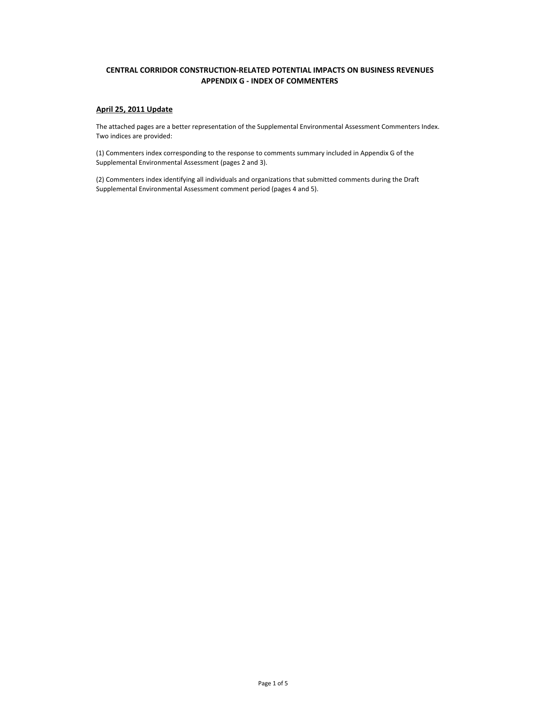## **CENTRAL CORRIDOR CONSTRUCTION‐RELATED POTENTIAL IMPACTS ON BUSINESS REVENUES APPENDIX G ‐ INDEX OF COMMENTERS**

## **April 25, 2011 Update**

The attached pages are a better representation of the Supplemental Environmental Assessment Commenters Index. Two indices are provided:

(1) Commenters index corresponding to the response to comments summary included in Appendix G of the Supplemental Environmental Assessment (pages 2 and 3).

(2) Commenters index identifying all individuals and organizations that submitted comments during the Draft Supplemental Environmental Assessment comment period (pages 4 and 5).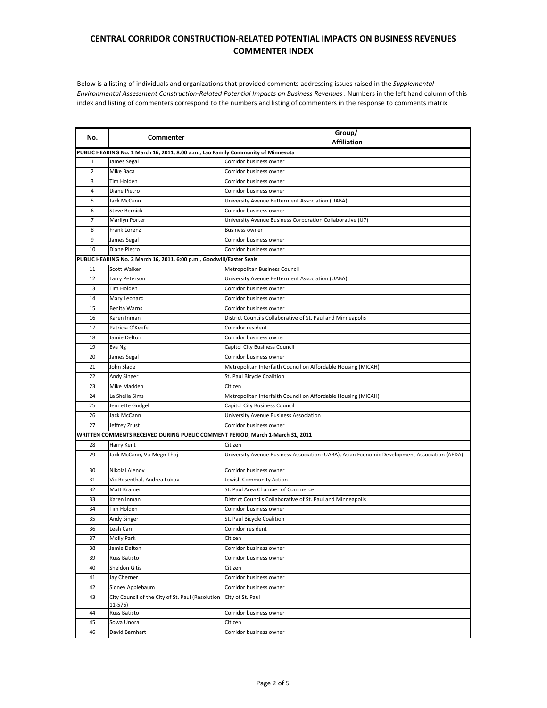## **CENTRAL CORRIDOR CONSTRUCTION‐RELATED POTENTIAL IMPACTS ON BUSINESS REVENUES COMMENTER INDEX**

Below is a listing of individuals and organizations that provided comments addressing issues raised in the *Supplemental Environmental Assessment Construction‐Related Potential Impacts on Business Revenues*. Numbers in the left hand column of this index and listing of commenters correspond to the numbers and listing of commenters in the response to comments matrix.

| No.                                                                               | Commenter                                                                      | Group/<br><b>Affiliation</b>                                                                 |  |  |  |
|-----------------------------------------------------------------------------------|--------------------------------------------------------------------------------|----------------------------------------------------------------------------------------------|--|--|--|
| PUBLIC HEARING No. 1 March 16, 2011, 8:00 a.m., Lao Family Community of Minnesota |                                                                                |                                                                                              |  |  |  |
| $\mathbf{1}$                                                                      | James Segal                                                                    | Corridor business owner                                                                      |  |  |  |
| $\overline{2}$                                                                    | Mike Baca                                                                      | Corridor business owner                                                                      |  |  |  |
| 3                                                                                 | Tim Holden                                                                     | Corridor business owner                                                                      |  |  |  |
| 4                                                                                 | Diane Pietro                                                                   | Corridor business owner                                                                      |  |  |  |
| 5                                                                                 | Jack McCann                                                                    | University Avenue Betterment Association (UABA)                                              |  |  |  |
| 6                                                                                 | <b>Steve Bernick</b>                                                           | Corridor business owner                                                                      |  |  |  |
| 7                                                                                 | Marilyn Porter                                                                 | University Avenue Business Corporation Collaborative (U7)                                    |  |  |  |
| 8                                                                                 | Frank Lorenz                                                                   | <b>Business owner</b>                                                                        |  |  |  |
| 9                                                                                 | James Segal                                                                    | Corridor business owner                                                                      |  |  |  |
| 10                                                                                | Diane Pietro                                                                   | Corridor business owner                                                                      |  |  |  |
|                                                                                   | PUBLIC HEARING No. 2 March 16, 2011, 6:00 p.m., Goodwill/Easter Seals          |                                                                                              |  |  |  |
| 11                                                                                | Scott Walker                                                                   | Metropolitan Business Council                                                                |  |  |  |
| 12                                                                                | Larry Peterson                                                                 | University Avenue Betterment Association (UABA)                                              |  |  |  |
| 13                                                                                | Tim Holden                                                                     | Corridor business owner                                                                      |  |  |  |
| 14                                                                                | Mary Leonard                                                                   | Corridor business owner                                                                      |  |  |  |
| 15                                                                                | Benita Warns                                                                   | Corridor business owner                                                                      |  |  |  |
| 16                                                                                | Karen Inman                                                                    | District Councils Collaborative of St. Paul and Minneapolis                                  |  |  |  |
| 17                                                                                | Patricia O'Keefe                                                               | Corridor resident                                                                            |  |  |  |
| 18                                                                                | Jamie Delton                                                                   | Corridor business owner                                                                      |  |  |  |
| 19                                                                                | Eva Ng                                                                         | Capitol City Business Council                                                                |  |  |  |
| 20                                                                                | James Segal                                                                    | Corridor business owner                                                                      |  |  |  |
| 21                                                                                | John Slade                                                                     | Metropolitan Interfaith Council on Affordable Housing (MICAH)                                |  |  |  |
| 22                                                                                | Andy Singer                                                                    | St. Paul Bicycle Coalition                                                                   |  |  |  |
| 23                                                                                | Mike Madden                                                                    | Citizen                                                                                      |  |  |  |
| 24                                                                                | La Shella Sims                                                                 | Metropolitan Interfaith Council on Affordable Housing (MICAH)                                |  |  |  |
| 25                                                                                | Jennette Gudgel                                                                | Capitol City Business Council                                                                |  |  |  |
| 26                                                                                | Jack McCann                                                                    | University Avenue Business Association                                                       |  |  |  |
| 27                                                                                | Jeffrey Zrust                                                                  | Corridor business owner                                                                      |  |  |  |
|                                                                                   | WRITTEN COMMENTS RECEIVED DURING PUBLIC COMMENT PERIOD, March 1-March 31, 2011 |                                                                                              |  |  |  |
| 28                                                                                | Harry Kent                                                                     | Citizen                                                                                      |  |  |  |
| 29                                                                                | Jack McCann, Va-Megn Thoj                                                      | University Avenue Business Association (UABA), Asian Economic Development Association (AEDA) |  |  |  |
| 30                                                                                | Nikolai Alenov                                                                 | Corridor business owner                                                                      |  |  |  |
| 31                                                                                | Vic Rosenthal, Andrea Lubov                                                    | Jewish Community Action                                                                      |  |  |  |
| 32                                                                                | Matt Kramer                                                                    | St. Paul Area Chamber of Commerce                                                            |  |  |  |
| 33                                                                                | Karen Inman                                                                    | District Councils Collaborative of St. Paul and Minneapolis                                  |  |  |  |
| 34                                                                                | Tim Holden                                                                     | Corridor business owner                                                                      |  |  |  |
| 35                                                                                | Andy Singer                                                                    | St. Paul Bicycle Coalition                                                                   |  |  |  |
| 36                                                                                | Leah Carr                                                                      | Corridor resident                                                                            |  |  |  |
| 37                                                                                | <b>Molly Park</b>                                                              | Citizen                                                                                      |  |  |  |
| 38                                                                                | Jamie Delton                                                                   | Corridor business owner                                                                      |  |  |  |
| 39                                                                                | Russ Batisto                                                                   | Corridor business owner                                                                      |  |  |  |
| 40                                                                                | Sheldon Gitis                                                                  | Citizen                                                                                      |  |  |  |
| 41                                                                                | Jay Cherner                                                                    | Corridor business owner                                                                      |  |  |  |
| 42                                                                                | Sidney Applebaum                                                               | Corridor business owner                                                                      |  |  |  |
| 43                                                                                | City Council of the City of St. Paul (Resolution<br>11-576)                    | City of St. Paul                                                                             |  |  |  |
| 44                                                                                | Russ Batisto                                                                   | Corridor business owner                                                                      |  |  |  |
| 45                                                                                | Sowa Unora                                                                     | Citizen                                                                                      |  |  |  |
| 46                                                                                | David Barnhart                                                                 | Corridor business owner                                                                      |  |  |  |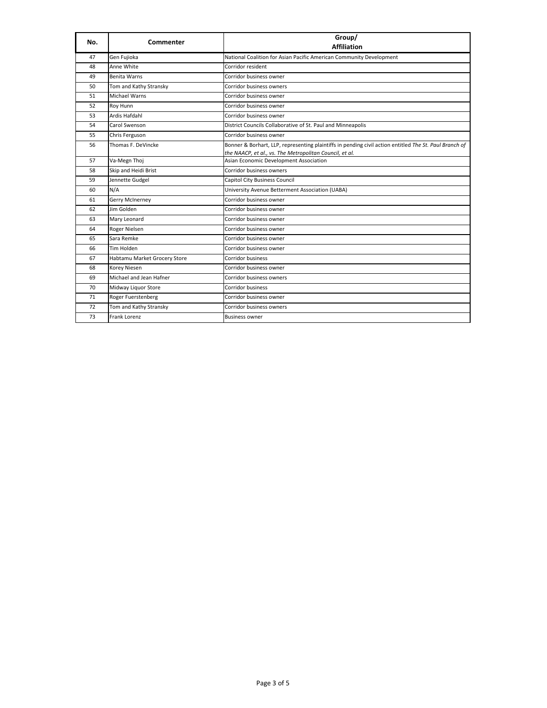| No. | <b>Commenter</b>             | Group/<br><b>Affiliation</b>                                                                                                                                      |
|-----|------------------------------|-------------------------------------------------------------------------------------------------------------------------------------------------------------------|
| 47  | Gen Fujioka                  | National Coalition for Asian Pacific American Community Development                                                                                               |
| 48  | Anne White                   | Corridor resident                                                                                                                                                 |
| 49  | <b>Benita Warns</b>          | Corridor business owner                                                                                                                                           |
| 50  | Tom and Kathy Stransky       | Corridor business owners                                                                                                                                          |
| 51  | <b>Michael Warns</b>         | Corridor business owner                                                                                                                                           |
| 52  | Roy Hunn                     | Corridor business owner                                                                                                                                           |
| 53  | Ardis Hafdahl                | Corridor business owner                                                                                                                                           |
| 54  | Carol Swenson                | District Councils Collaborative of St. Paul and Minneapolis                                                                                                       |
| 55  | Chris Ferguson               | Corridor business owner                                                                                                                                           |
| 56  | Thomas F. DeVincke           | Bonner & Borhart, LLP, representing plaintiffs in pending civil action entitled The St. Paul Branch of<br>the NAACP, et al., vs. The Metropolitan Council, et al. |
| 57  | Va-Megn Thoj                 | Asian Economic Development Association                                                                                                                            |
| 58  | Skip and Heidi Brist         | Corridor business owners                                                                                                                                          |
| 59  | Jennette Gudgel              | Capitol City Business Council                                                                                                                                     |
| 60  | N/A                          | University Avenue Betterment Association (UABA)                                                                                                                   |
| 61  | Gerry McInerney              | Corridor business owner                                                                                                                                           |
| 62  | Jim Golden                   | Corridor business owner                                                                                                                                           |
| 63  | Mary Leonard                 | Corridor business owner                                                                                                                                           |
| 64  | Roger Nielsen                | Corridor business owner                                                                                                                                           |
| 65  | Sara Remke                   | Corridor business owner                                                                                                                                           |
| 66  | Tim Holden                   | Corridor business owner                                                                                                                                           |
| 67  | Habtamu Market Grocery Store | Corridor business                                                                                                                                                 |
| 68  | Korey Niesen                 | Corridor business owner                                                                                                                                           |
| 69  | Michael and Jean Hafner      | Corridor business owners                                                                                                                                          |
| 70  | Midway Liquor Store          | <b>Corridor business</b>                                                                                                                                          |
| 71  | Roger Fuerstenberg           | Corridor business owner                                                                                                                                           |
| 72  | Tom and Kathy Stransky       | Corridor business owners                                                                                                                                          |
| 73  | <b>Frank Lorenz</b>          | <b>Business owner</b>                                                                                                                                             |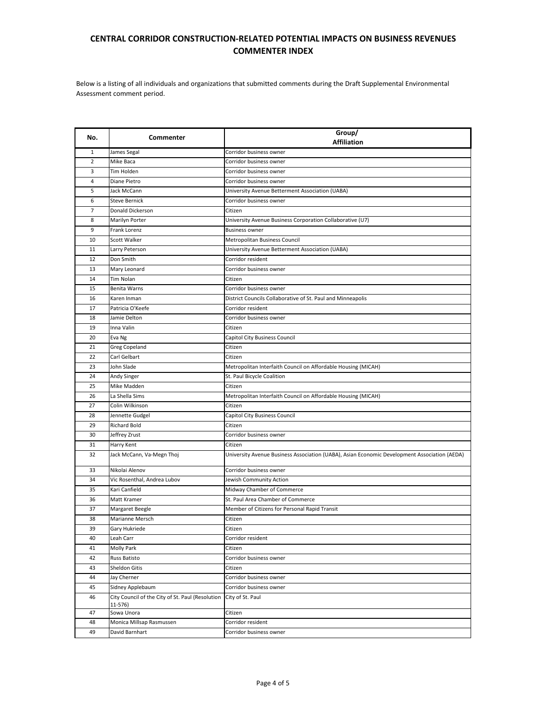## **CENTRAL CORRIDOR CONSTRUCTION‐RELATED POTENTIAL IMPACTS ON BUSINESS REVENUES COMMENTER INDEX**

Below is a listing of all individuals and organizations that submitted comments during the Draft Supplemental Environmental Assessment comment period.

| No.            | Commenter                                                   | Group/<br><b>Affiliation</b>                                                                 |
|----------------|-------------------------------------------------------------|----------------------------------------------------------------------------------------------|
| 1              | James Segal                                                 | Corridor business owner                                                                      |
| $\overline{2}$ | Mike Baca                                                   | Corridor business owner                                                                      |
| 3              | Tim Holden                                                  | Corridor business owner                                                                      |
| 4              | Diane Pietro                                                | Corridor business owner                                                                      |
| 5              | Jack McCann                                                 | University Avenue Betterment Association (UABA)                                              |
| 6              | <b>Steve Bernick</b>                                        | Corridor business owner                                                                      |
| 7              | Donald Dickerson                                            | Citizen                                                                                      |
| 8              | Marilyn Porter                                              | University Avenue Business Corporation Collaborative (U7)                                    |
| 9              | Frank Lorenz                                                | <b>Business owner</b>                                                                        |
| 10             | Scott Walker                                                | Metropolitan Business Council                                                                |
| 11             | Larry Peterson                                              | University Avenue Betterment Association (UABA)                                              |
| 12             | Don Smith                                                   | Corridor resident                                                                            |
| 13             | Mary Leonard                                                | Corridor business owner                                                                      |
| 14             | Tim Nolan                                                   | Citizen                                                                                      |
| 15             | Benita Warns                                                | Corridor business owner                                                                      |
| 16             | Karen Inman                                                 | District Councils Collaborative of St. Paul and Minneapolis                                  |
| 17             | Patricia O'Keefe                                            | Corridor resident                                                                            |
| 18             | Jamie Delton                                                | Corridor business owner                                                                      |
| 19             | Inna Valin                                                  | Citizen                                                                                      |
| 20             | Eva Ng                                                      | Capitol City Business Council                                                                |
| 21             | Greg Copeland                                               | Citizen                                                                                      |
| 22             | Carl Gelbart                                                | Citizen                                                                                      |
| 23             | John Slade                                                  | Metropolitan Interfaith Council on Affordable Housing (MICAH)                                |
| 24             | Andy Singer                                                 | St. Paul Bicycle Coalition                                                                   |
| 25             | Mike Madden                                                 | Citizen                                                                                      |
| 26             | La Shella Sims                                              | Metropolitan Interfaith Council on Affordable Housing (MICAH)                                |
| 27             | Colin Wilkinson                                             | Citizen                                                                                      |
| 28             | Jennette Gudgel                                             | Capitol City Business Council                                                                |
| 29             | <b>Richard Bold</b>                                         | Citizen                                                                                      |
| 30             | Jeffrey Zrust                                               | Corridor business owner                                                                      |
| 31             | Harry Kent                                                  | Citizen                                                                                      |
| 32             | Jack McCann, Va-Megn Thoj                                   | University Avenue Business Association (UABA), Asian Economic Development Association (AEDA) |
| 33             | Nikolai Alenov                                              | Corridor business owner                                                                      |
| 34             | Vic Rosenthal, Andrea Lubov                                 | Jewish Community Action                                                                      |
| 35             | Kari Canfield                                               | Midway Chamber of Commerce                                                                   |
| 36             | Matt Kramer                                                 | St. Paul Area Chamber of Commerce                                                            |
| 37             | Margaret Beegle                                             | Member of Citizens for Personal Rapid Transit                                                |
| 38             | Marianne Mersch                                             | Citizen                                                                                      |
| 39             | Gary Hukriede                                               | Citizen                                                                                      |
| 40             | Leah Carr                                                   | Corridor resident                                                                            |
| 41             | Molly Park                                                  | Citizen                                                                                      |
| 42             | Russ Batisto                                                | Corridor business owner                                                                      |
| 43             | Sheldon Gitis                                               | Citizen                                                                                      |
| 44             | Jay Cherner                                                 | Corridor business owner                                                                      |
| 45             | Sidney Applebaum                                            | Corridor business owner                                                                      |
| 46             | City Council of the City of St. Paul (Resolution<br>11-576) | City of St. Paul                                                                             |
| 47             | Sowa Unora                                                  | Citizen                                                                                      |
| 48             | Monica Millsap Rasmussen                                    | Corridor resident                                                                            |
| 49             | David Barnhart                                              | Corridor business owner                                                                      |